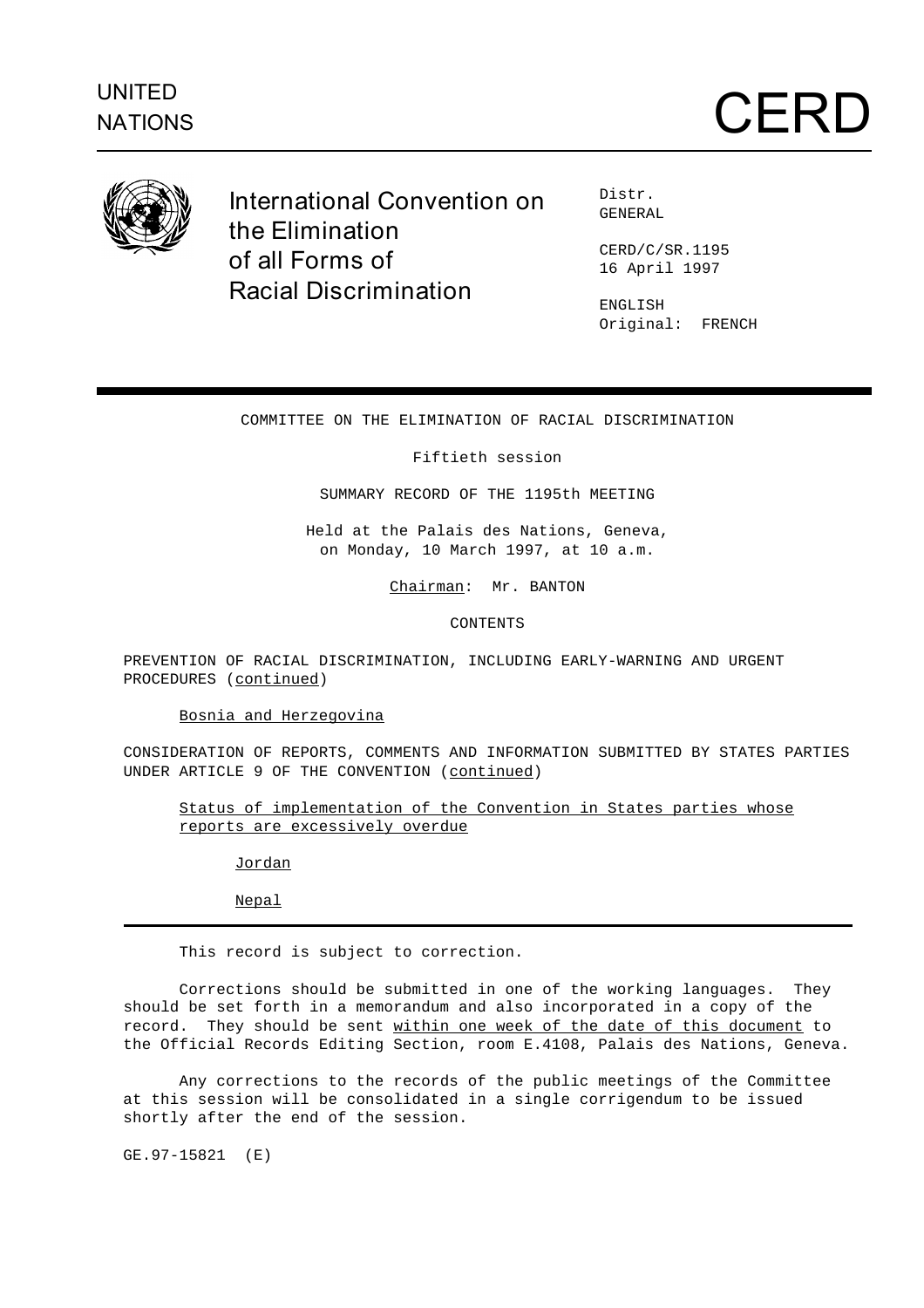

**International Convention on the Elimination of all Forms of Racial Discrimination**

Distr. GENERAL

CERD/C/SR.1195 16 April 1997

ENGLISH Original: FRENCH

# COMMITTEE ON THE ELIMINATION OF RACIAL DISCRIMINATION

## Fiftieth session

SUMMARY RECORD OF THE 1195th MEETING

Held at the Palais des Nations, Geneva, on Monday, 10 March 1997, at 10 a.m.

Chairman: Mr. BANTON

CONTENTS

PREVENTION OF RACIAL DISCRIMINATION, INCLUDING EARLY-WARNING AND URGENT PROCEDURES (continued)

Bosnia and Herzegovina

CONSIDERATION OF REPORTS, COMMENTS AND INFORMATION SUBMITTED BY STATES PARTIES UNDER ARTICLE 9 OF THE CONVENTION (continued)

Status of implementation of the Convention in States parties whose reports are excessively overdue

Jordan

Nepal

This record is subject to correction.

Corrections should be submitted in one of the working languages. They should be set forth in a memorandum and also incorporated in a copy of the record. They should be sent within one week of the date of this document to the Official Records Editing Section, room E.4108, Palais des Nations, Geneva.

Any corrections to the records of the public meetings of the Committee at this session will be consolidated in a single corrigendum to be issued shortly after the end of the session.

GE.97-15821 (E)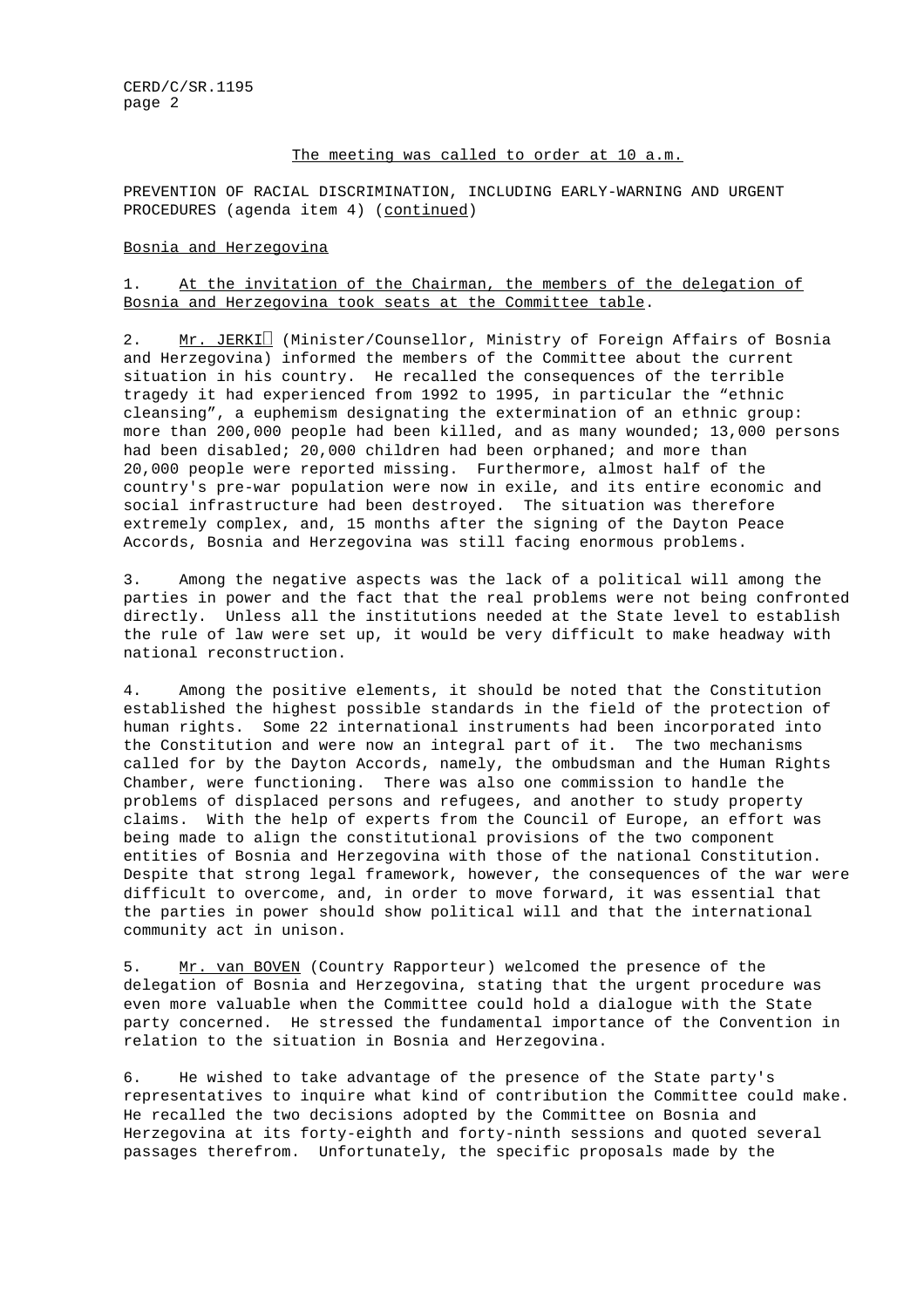## The meeting was called to order at 10 a.m.

PREVENTION OF RACIAL DISCRIMINATION, INCLUDING EARLY-WARNING AND URGENT PROCEDURES (agenda item 4) (continued)

#### Bosnia and Herzegovina

# 1. At the invitation of the Chairman, the members of the delegation of Bosnia and Herzegovina took seats at the Committee table.

2. Mr. JERKI (Minister/Counsellor, Ministry of Foreign Affairs of Bosnia and Herzegovina) informed the members of the Committee about the current situation in his country. He recalled the consequences of the terrible tragedy it had experienced from 1992 to 1995, in particular the "ethnic cleansing", a euphemism designating the extermination of an ethnic group: more than 200,000 people had been killed, and as many wounded; 13,000 persons had been disabled; 20,000 children had been orphaned; and more than 20,000 people were reported missing. Furthermore, almost half of the country's pre-war population were now in exile, and its entire economic and social infrastructure had been destroyed. The situation was therefore extremely complex, and, 15 months after the signing of the Dayton Peace Accords, Bosnia and Herzegovina was still facing enormous problems.

3. Among the negative aspects was the lack of a political will among the parties in power and the fact that the real problems were not being confronted directly. Unless all the institutions needed at the State level to establish the rule of law were set up, it would be very difficult to make headway with national reconstruction.

4. Among the positive elements, it should be noted that the Constitution established the highest possible standards in the field of the protection of human rights. Some 22 international instruments had been incorporated into the Constitution and were now an integral part of it. The two mechanisms called for by the Dayton Accords, namely, the ombudsman and the Human Rights Chamber, were functioning. There was also one commission to handle the problems of displaced persons and refugees, and another to study property claims. With the help of experts from the Council of Europe, an effort was being made to align the constitutional provisions of the two component entities of Bosnia and Herzegovina with those of the national Constitution. Despite that strong legal framework, however, the consequences of the war were difficult to overcome, and, in order to move forward, it was essential that the parties in power should show political will and that the international community act in unison.

5. Mr. van BOVEN (Country Rapporteur) welcomed the presence of the delegation of Bosnia and Herzegovina, stating that the urgent procedure was even more valuable when the Committee could hold a dialogue with the State party concerned. He stressed the fundamental importance of the Convention in relation to the situation in Bosnia and Herzegovina.

6. He wished to take advantage of the presence of the State party's representatives to inquire what kind of contribution the Committee could make. He recalled the two decisions adopted by the Committee on Bosnia and Herzegovina at its forty-eighth and forty-ninth sessions and quoted several passages therefrom. Unfortunately, the specific proposals made by the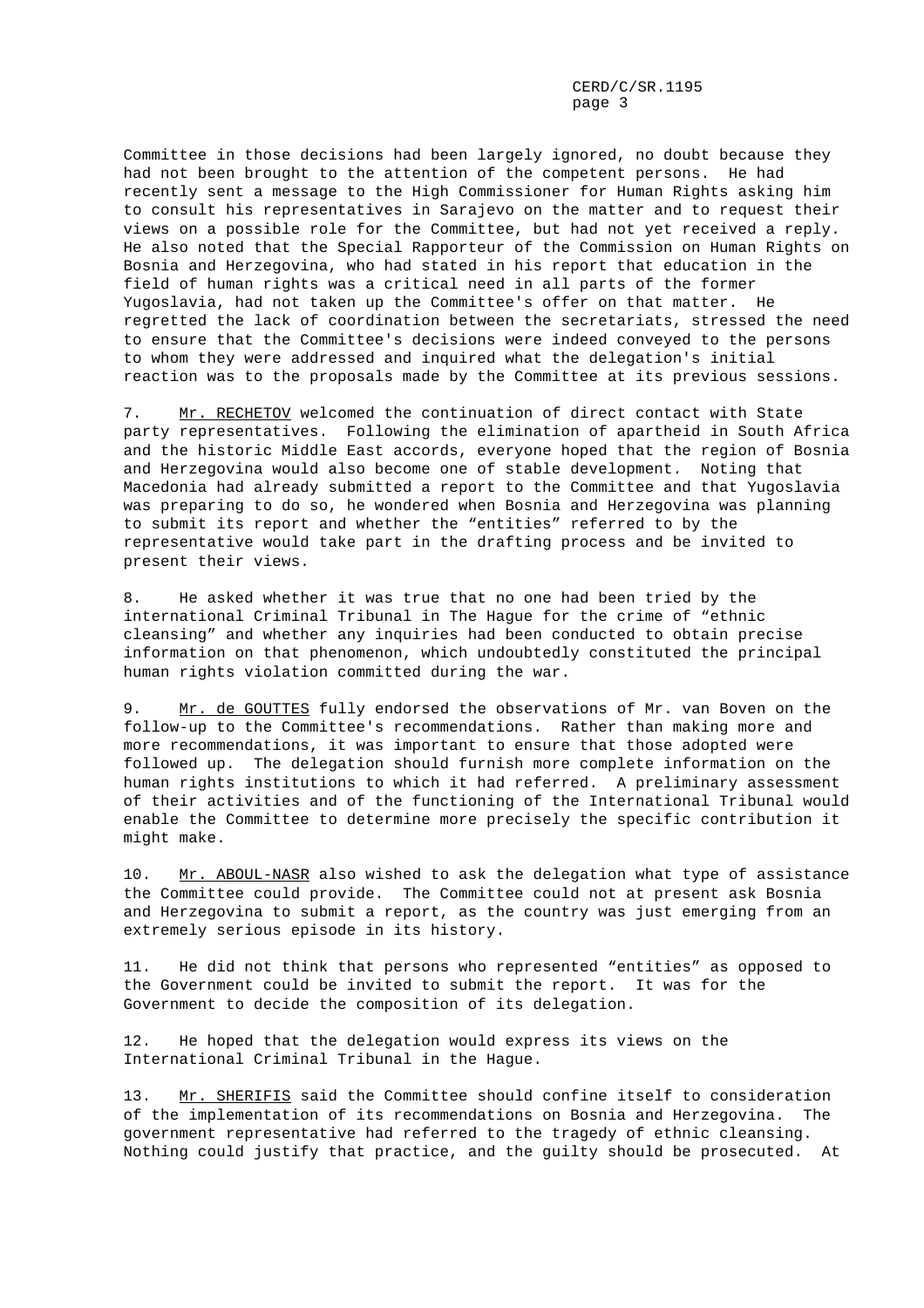Committee in those decisions had been largely ignored, no doubt because they had not been brought to the attention of the competent persons. He had recently sent a message to the High Commissioner for Human Rights asking him to consult his representatives in Sarajevo on the matter and to request their views on a possible role for the Committee, but had not yet received a reply. He also noted that the Special Rapporteur of the Commission on Human Rights on Bosnia and Herzegovina, who had stated in his report that education in the field of human rights was a critical need in all parts of the former Yugoslavia, had not taken up the Committee's offer on that matter. He regretted the lack of coordination between the secretariats, stressed the need to ensure that the Committee's decisions were indeed conveyed to the persons to whom they were addressed and inquired what the delegation's initial reaction was to the proposals made by the Committee at its previous sessions.

7. Mr. RECHETOV welcomed the continuation of direct contact with State party representatives. Following the elimination of apartheid in South Africa and the historic Middle East accords, everyone hoped that the region of Bosnia and Herzegovina would also become one of stable development. Noting that Macedonia had already submitted a report to the Committee and that Yugoslavia was preparing to do so, he wondered when Bosnia and Herzegovina was planning to submit its report and whether the "entities" referred to by the representative would take part in the drafting process and be invited to present their views.

8. He asked whether it was true that no one had been tried by the international Criminal Tribunal in The Hague for the crime of "ethnic cleansing" and whether any inquiries had been conducted to obtain precise information on that phenomenon, which undoubtedly constituted the principal human rights violation committed during the war.

9. Mr. de GOUTTES fully endorsed the observations of Mr. van Boven on the follow-up to the Committee's recommendations. Rather than making more and more recommendations, it was important to ensure that those adopted were followed up. The delegation should furnish more complete information on the human rights institutions to which it had referred. A preliminary assessment of their activities and of the functioning of the International Tribunal would enable the Committee to determine more precisely the specific contribution it might make.

10. Mr. ABOUL-NASR also wished to ask the delegation what type of assistance the Committee could provide. The Committee could not at present ask Bosnia and Herzegovina to submit a report, as the country was just emerging from an extremely serious episode in its history.

11. He did not think that persons who represented "entities" as opposed to the Government could be invited to submit the report. It was for the Government to decide the composition of its delegation.

12. He hoped that the delegation would express its views on the International Criminal Tribunal in the Hague.

13. Mr. SHERIFIS said the Committee should confine itself to consideration of the implementation of its recommendations on Bosnia and Herzegovina. The government representative had referred to the tragedy of ethnic cleansing. Nothing could justify that practice, and the guilty should be prosecuted. At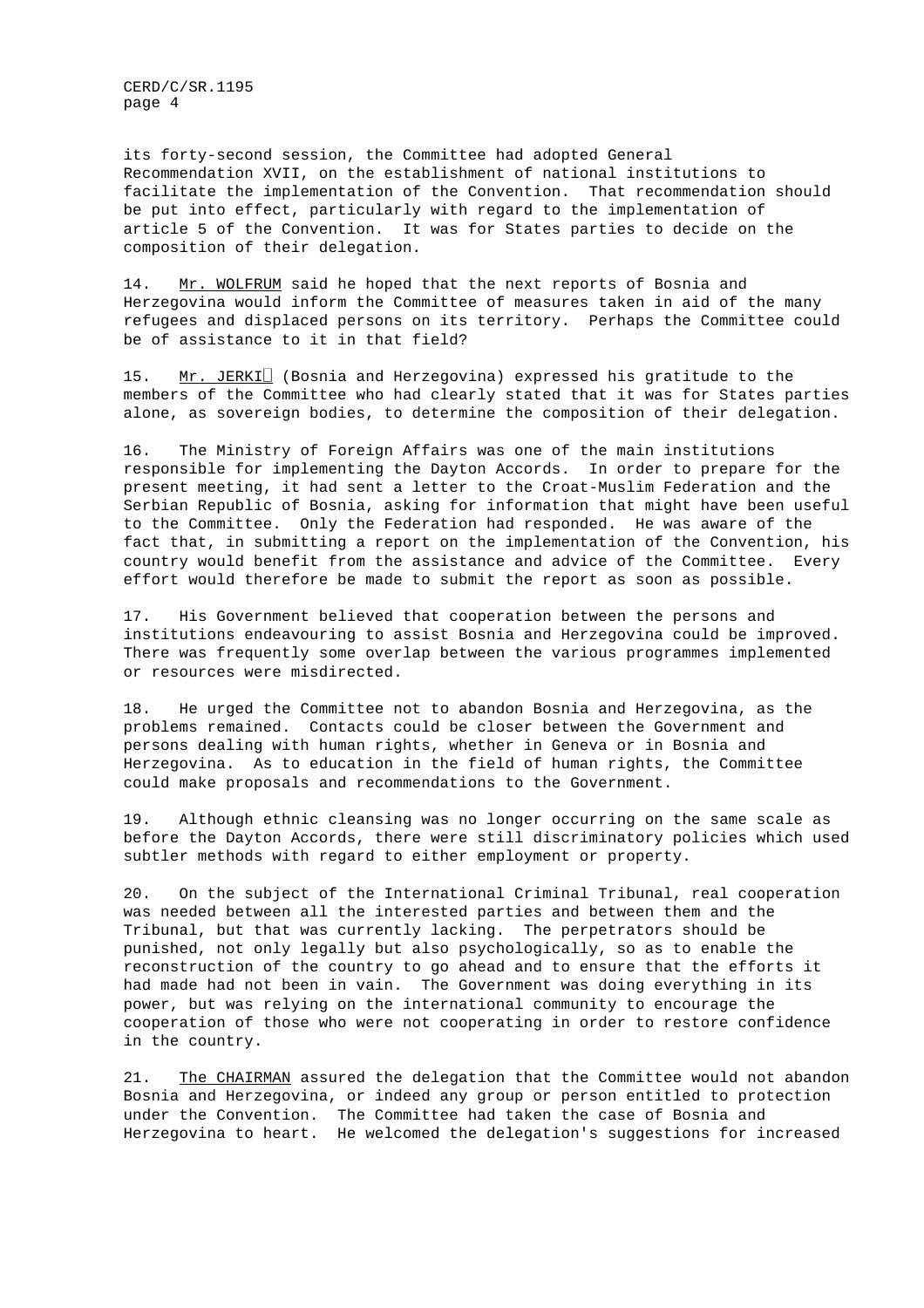its forty-second session, the Committee had adopted General Recommendation XVII, on the establishment of national institutions to facilitate the implementation of the Convention. That recommendation should be put into effect, particularly with regard to the implementation of article 5 of the Convention. It was for States parties to decide on the composition of their delegation.

14. Mr. WOLFRUM said he hoped that the next reports of Bosnia and Herzegovina would inform the Committee of measures taken in aid of the many refugees and displaced persons on its territory. Perhaps the Committee could be of assistance to it in that field?

15.  $Mr. JERKI<sup>2</sup>$  (Bosnia and Herzegovina) expressed his gratitude to the members of the Committee who had clearly stated that it was for States parties alone, as sovereign bodies, to determine the composition of their delegation.

16. The Ministry of Foreign Affairs was one of the main institutions responsible for implementing the Dayton Accords. In order to prepare for the present meeting, it had sent a letter to the Croat-Muslim Federation and the Serbian Republic of Bosnia, asking for information that might have been useful to the Committee. Only the Federation had responded. He was aware of the fact that, in submitting a report on the implementation of the Convention, his country would benefit from the assistance and advice of the Committee. Every effort would therefore be made to submit the report as soon as possible.

17. His Government believed that cooperation between the persons and institutions endeavouring to assist Bosnia and Herzegovina could be improved. There was frequently some overlap between the various programmes implemented or resources were misdirected.

18. He urged the Committee not to abandon Bosnia and Herzegovina, as the problems remained. Contacts could be closer between the Government and persons dealing with human rights, whether in Geneva or in Bosnia and Herzegovina. As to education in the field of human rights, the Committee could make proposals and recommendations to the Government.

19. Although ethnic cleansing was no longer occurring on the same scale as before the Dayton Accords, there were still discriminatory policies which used subtler methods with regard to either employment or property.

20. On the subject of the International Criminal Tribunal, real cooperation was needed between all the interested parties and between them and the Tribunal, but that was currently lacking. The perpetrators should be punished, not only legally but also psychologically, so as to enable the reconstruction of the country to go ahead and to ensure that the efforts it had made had not been in vain. The Government was doing everything in its power, but was relying on the international community to encourage the cooperation of those who were not cooperating in order to restore confidence in the country.

21. The CHAIRMAN assured the delegation that the Committee would not abandon Bosnia and Herzegovina, or indeed any group or person entitled to protection under the Convention. The Committee had taken the case of Bosnia and Herzegovina to heart. He welcomed the delegation's suggestions for increased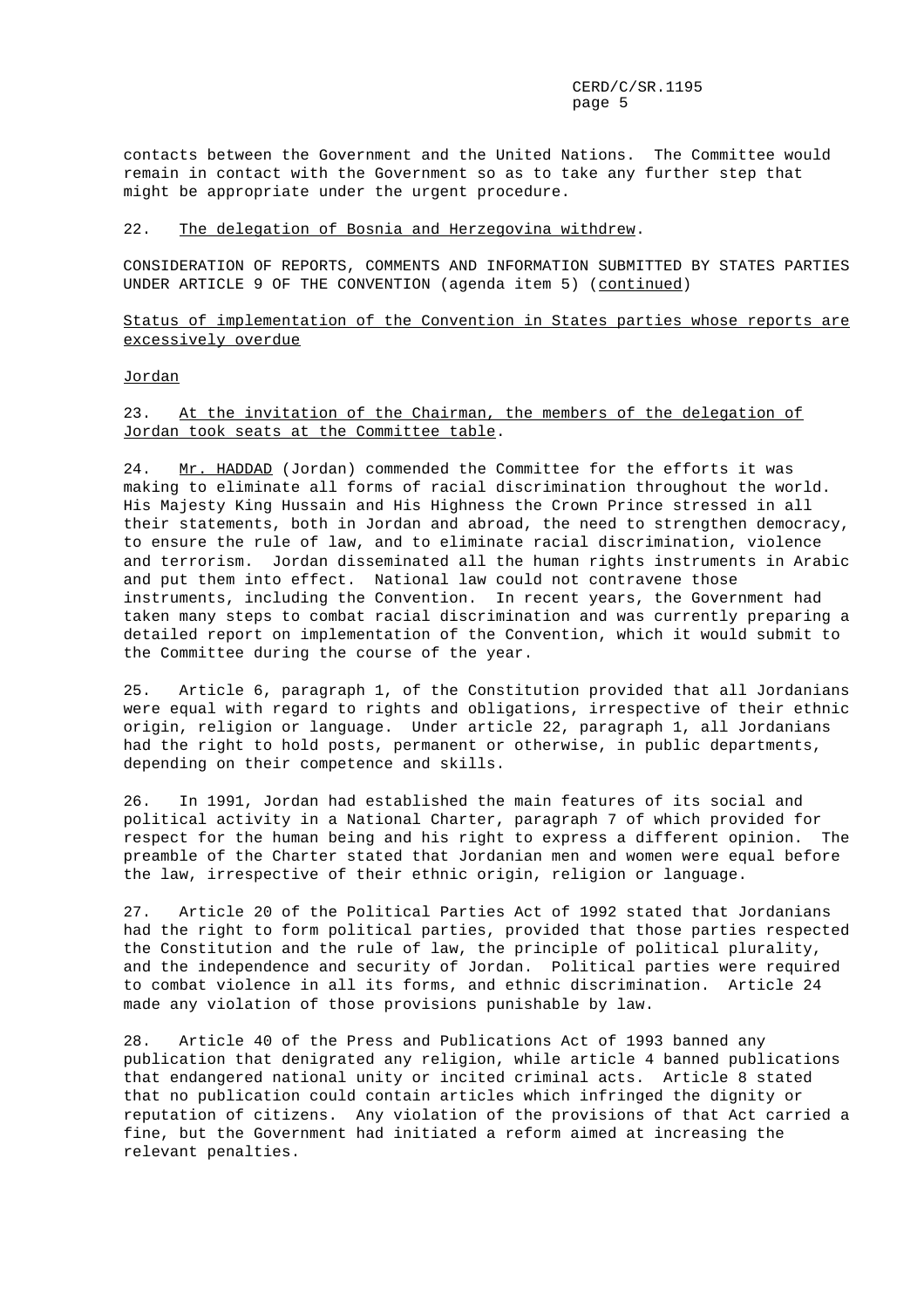contacts between the Government and the United Nations. The Committee would remain in contact with the Government so as to take any further step that might be appropriate under the urgent procedure.

#### 22. The delegation of Bosnia and Herzegovina withdrew.

CONSIDERATION OF REPORTS, COMMENTS AND INFORMATION SUBMITTED BY STATES PARTIES UNDER ARTICLE 9 OF THE CONVENTION (agenda item 5) (continued)

## Status of implementation of the Convention in States parties whose reports are excessively overdue

#### Jordan

#### 23. At the invitation of the Chairman, the members of the delegation of Jordan took seats at the Committee table.

24. Mr. HADDAD (Jordan) commended the Committee for the efforts it was making to eliminate all forms of racial discrimination throughout the world. His Majesty King Hussain and His Highness the Crown Prince stressed in all their statements, both in Jordan and abroad, the need to strengthen democracy, to ensure the rule of law, and to eliminate racial discrimination, violence and terrorism. Jordan disseminated all the human rights instruments in Arabic and put them into effect. National law could not contravene those instruments, including the Convention. In recent years, the Government had taken many steps to combat racial discrimination and was currently preparing a detailed report on implementation of the Convention, which it would submit to the Committee during the course of the year.

25. Article 6, paragraph 1, of the Constitution provided that all Jordanians were equal with regard to rights and obligations, irrespective of their ethnic origin, religion or language. Under article 22, paragraph 1, all Jordanians had the right to hold posts, permanent or otherwise, in public departments, depending on their competence and skills.

26. In 1991, Jordan had established the main features of its social and political activity in a National Charter, paragraph 7 of which provided for respect for the human being and his right to express a different opinion. The preamble of the Charter stated that Jordanian men and women were equal before the law, irrespective of their ethnic origin, religion or language.

27. Article 20 of the Political Parties Act of 1992 stated that Jordanians had the right to form political parties, provided that those parties respected the Constitution and the rule of law, the principle of political plurality, and the independence and security of Jordan. Political parties were required to combat violence in all its forms, and ethnic discrimination. Article 24 made any violation of those provisions punishable by law.

28. Article 40 of the Press and Publications Act of 1993 banned any publication that denigrated any religion, while article 4 banned publications that endangered national unity or incited criminal acts. Article 8 stated that no publication could contain articles which infringed the dignity or reputation of citizens. Any violation of the provisions of that Act carried a fine, but the Government had initiated a reform aimed at increasing the relevant penalties.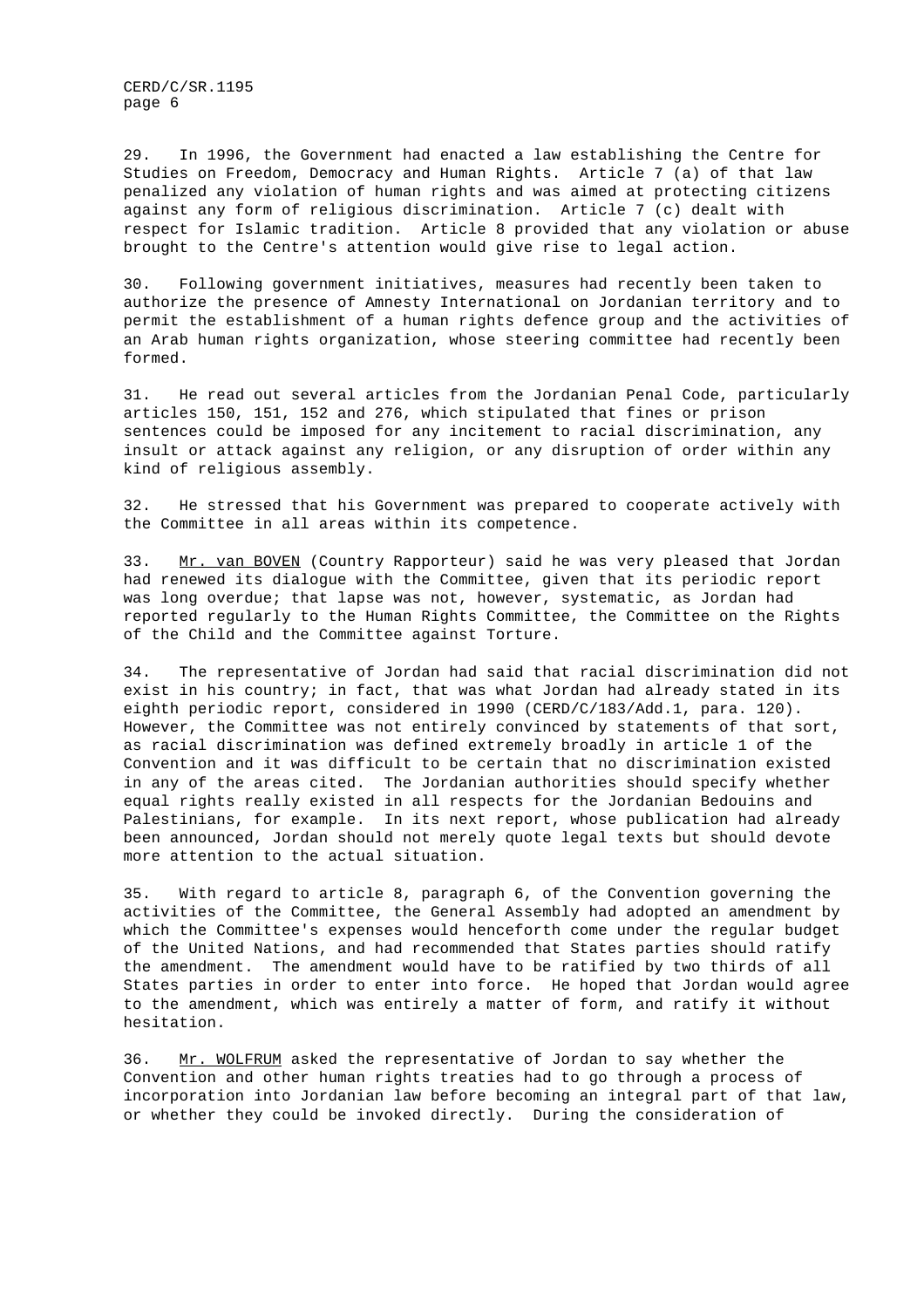29. In 1996, the Government had enacted a law establishing the Centre for Studies on Freedom, Democracy and Human Rights. Article 7 (a) of that law penalized any violation of human rights and was aimed at protecting citizens against any form of religious discrimination. Article 7 (c) dealt with respect for Islamic tradition. Article 8 provided that any violation or abuse brought to the Centre's attention would give rise to legal action.

30. Following government initiatives, measures had recently been taken to authorize the presence of Amnesty International on Jordanian territory and to permit the establishment of a human rights defence group and the activities of an Arab human rights organization, whose steering committee had recently been formed.

31. He read out several articles from the Jordanian Penal Code, particularly articles 150, 151, 152 and 276, which stipulated that fines or prison sentences could be imposed for any incitement to racial discrimination, any insult or attack against any religion, or any disruption of order within any kind of religious assembly.

32. He stressed that his Government was prepared to cooperate actively with the Committee in all areas within its competence.

33. Mr. van BOVEN (Country Rapporteur) said he was very pleased that Jordan had renewed its dialogue with the Committee, given that its periodic report was long overdue; that lapse was not, however, systematic, as Jordan had reported regularly to the Human Rights Committee, the Committee on the Rights of the Child and the Committee against Torture.

34. The representative of Jordan had said that racial discrimination did not exist in his country; in fact, that was what Jordan had already stated in its eighth periodic report, considered in 1990 (CERD/C/183/Add.1, para. 120). However, the Committee was not entirely convinced by statements of that sort, as racial discrimination was defined extremely broadly in article 1 of the Convention and it was difficult to be certain that no discrimination existed in any of the areas cited. The Jordanian authorities should specify whether equal rights really existed in all respects for the Jordanian Bedouins and Palestinians, for example. In its next report, whose publication had already been announced, Jordan should not merely quote legal texts but should devote more attention to the actual situation.

35. With regard to article 8, paragraph 6, of the Convention governing the activities of the Committee, the General Assembly had adopted an amendment by which the Committee's expenses would henceforth come under the regular budget of the United Nations, and had recommended that States parties should ratify the amendment. The amendment would have to be ratified by two thirds of all States parties in order to enter into force. He hoped that Jordan would agree to the amendment, which was entirely a matter of form, and ratify it without hesitation.

36. Mr. WOLFRUM asked the representative of Jordan to say whether the Convention and other human rights treaties had to go through a process of incorporation into Jordanian law before becoming an integral part of that law, or whether they could be invoked directly. During the consideration of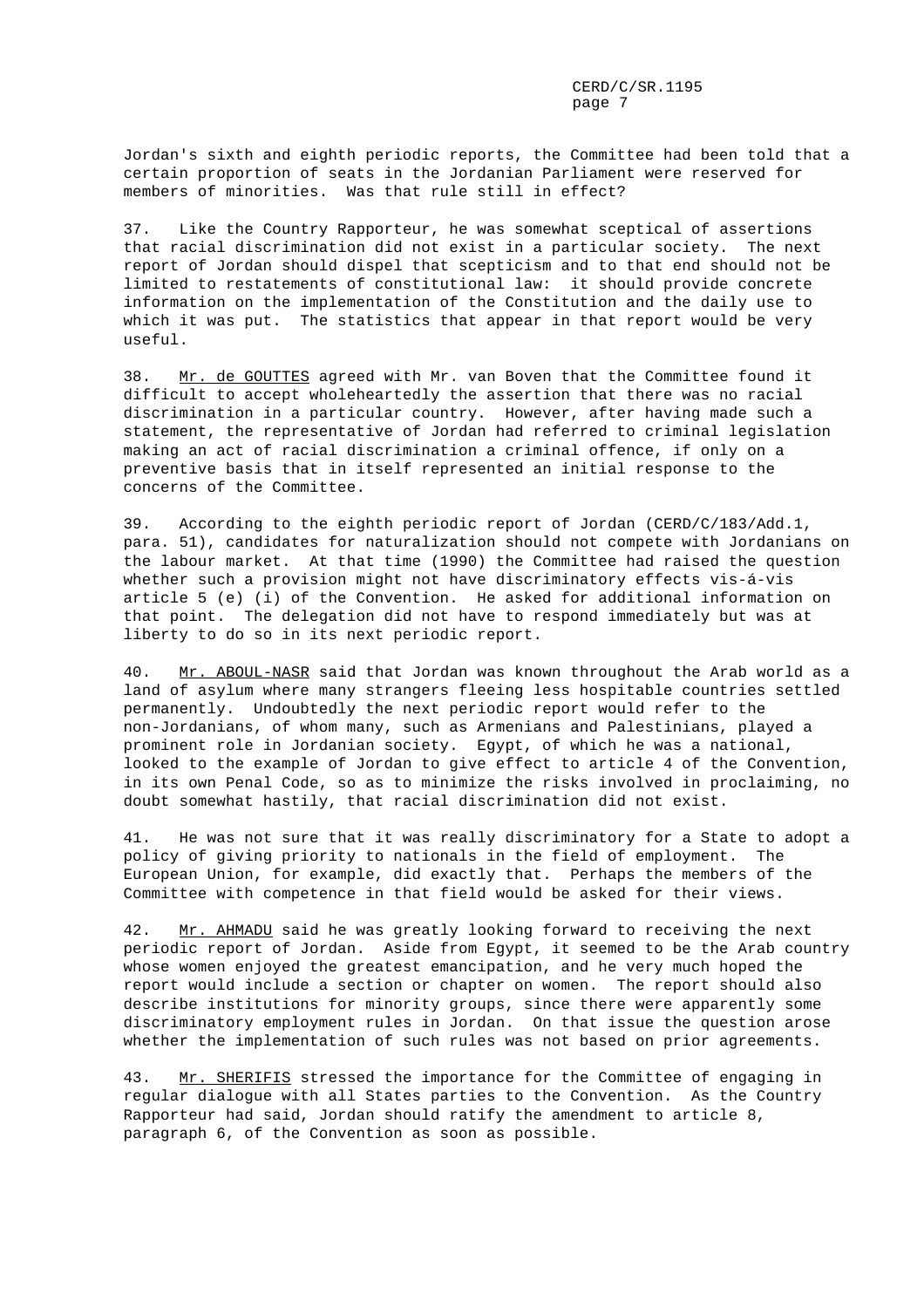Jordan's sixth and eighth periodic reports, the Committee had been told that a certain proportion of seats in the Jordanian Parliament were reserved for members of minorities. Was that rule still in effect?

37. Like the Country Rapporteur, he was somewhat sceptical of assertions that racial discrimination did not exist in a particular society. The next report of Jordan should dispel that scepticism and to that end should not be limited to restatements of constitutional law: it should provide concrete information on the implementation of the Constitution and the daily use to which it was put. The statistics that appear in that report would be very useful.

38. Mr. de GOUTTES agreed with Mr. van Boven that the Committee found it difficult to accept wholeheartedly the assertion that there was no racial discrimination in a particular country. However, after having made such a statement, the representative of Jordan had referred to criminal legislation making an act of racial discrimination a criminal offence, if only on a preventive basis that in itself represented an initial response to the concerns of the Committee.

39. According to the eighth periodic report of Jordan (CERD/C/183/Add.1, para. 51), candidates for naturalization should not compete with Jordanians on the labour market. At that time (1990) the Committee had raised the question whether such a provision might not have discriminatory effects vis-á-vis article 5 (e) (i) of the Convention. He asked for additional information on that point. The delegation did not have to respond immediately but was at liberty to do so in its next periodic report.

40. Mr. ABOUL-NASR said that Jordan was known throughout the Arab world as a land of asylum where many strangers fleeing less hospitable countries settled permanently. Undoubtedly the next periodic report would refer to the non-Jordanians, of whom many, such as Armenians and Palestinians, played a prominent role in Jordanian society. Egypt, of which he was a national, looked to the example of Jordan to give effect to article 4 of the Convention, in its own Penal Code, so as to minimize the risks involved in proclaiming, no doubt somewhat hastily, that racial discrimination did not exist.

41. He was not sure that it was really discriminatory for a State to adopt a policy of giving priority to nationals in the field of employment. The European Union, for example, did exactly that. Perhaps the members of the Committee with competence in that field would be asked for their views.

42. Mr. AHMADU said he was greatly looking forward to receiving the next periodic report of Jordan. Aside from Egypt, it seemed to be the Arab country whose women enjoyed the greatest emancipation, and he very much hoped the report would include a section or chapter on women. The report should also describe institutions for minority groups, since there were apparently some discriminatory employment rules in Jordan. On that issue the question arose whether the implementation of such rules was not based on prior agreements.

43. Mr. SHERIFIS stressed the importance for the Committee of engaging in regular dialogue with all States parties to the Convention. As the Country Rapporteur had said, Jordan should ratify the amendment to article 8, paragraph 6, of the Convention as soon as possible.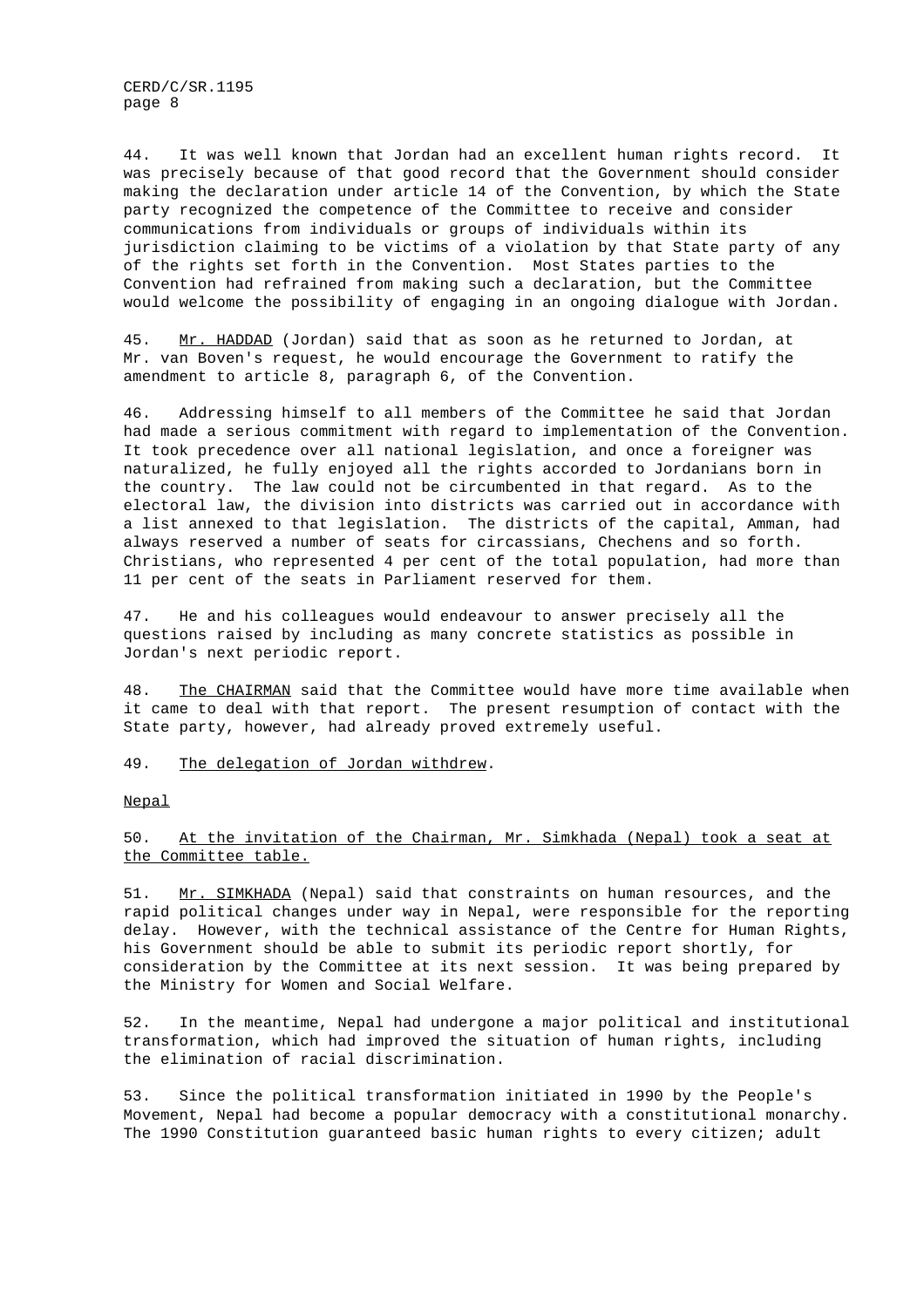44. It was well known that Jordan had an excellent human rights record. It was precisely because of that good record that the Government should consider making the declaration under article 14 of the Convention, by which the State party recognized the competence of the Committee to receive and consider communications from individuals or groups of individuals within its jurisdiction claiming to be victims of a violation by that State party of any of the rights set forth in the Convention. Most States parties to the Convention had refrained from making such a declaration, but the Committee would welcome the possibility of engaging in an ongoing dialogue with Jordan.

45. Mr. HADDAD (Jordan) said that as soon as he returned to Jordan, at Mr. van Boven's request, he would encourage the Government to ratify the amendment to article 8, paragraph 6, of the Convention.

46. Addressing himself to all members of the Committee he said that Jordan had made a serious commitment with regard to implementation of the Convention. It took precedence over all national legislation, and once a foreigner was naturalized, he fully enjoyed all the rights accorded to Jordanians born in the country. The law could not be circumbented in that regard. As to the electoral law, the division into districts was carried out in accordance with a list annexed to that legislation. The districts of the capital, Amman, had always reserved a number of seats for circassians, Chechens and so forth. Christians, who represented 4 per cent of the total population, had more than 11 per cent of the seats in Parliament reserved for them.

47. He and his colleagues would endeavour to answer precisely all the questions raised by including as many concrete statistics as possible in Jordan's next periodic report.

48. The CHAIRMAN said that the Committee would have more time available when it came to deal with that report. The present resumption of contact with the State party, however, had already proved extremely useful.

#### 49. The delegation of Jordan withdrew.

#### Nepal

50. At the invitation of the Chairman, Mr. Simkhada (Nepal) took a seat at the Committee table.

51. Mr. SIMKHADA (Nepal) said that constraints on human resources, and the rapid political changes under way in Nepal, were responsible for the reporting delay. However, with the technical assistance of the Centre for Human Rights, his Government should be able to submit its periodic report shortly, for consideration by the Committee at its next session. It was being prepared by the Ministry for Women and Social Welfare.

52. In the meantime, Nepal had undergone a major political and institutional transformation, which had improved the situation of human rights, including the elimination of racial discrimination.

53. Since the political transformation initiated in 1990 by the People's Movement, Nepal had become a popular democracy with a constitutional monarchy. The 1990 Constitution guaranteed basic human rights to every citizen; adult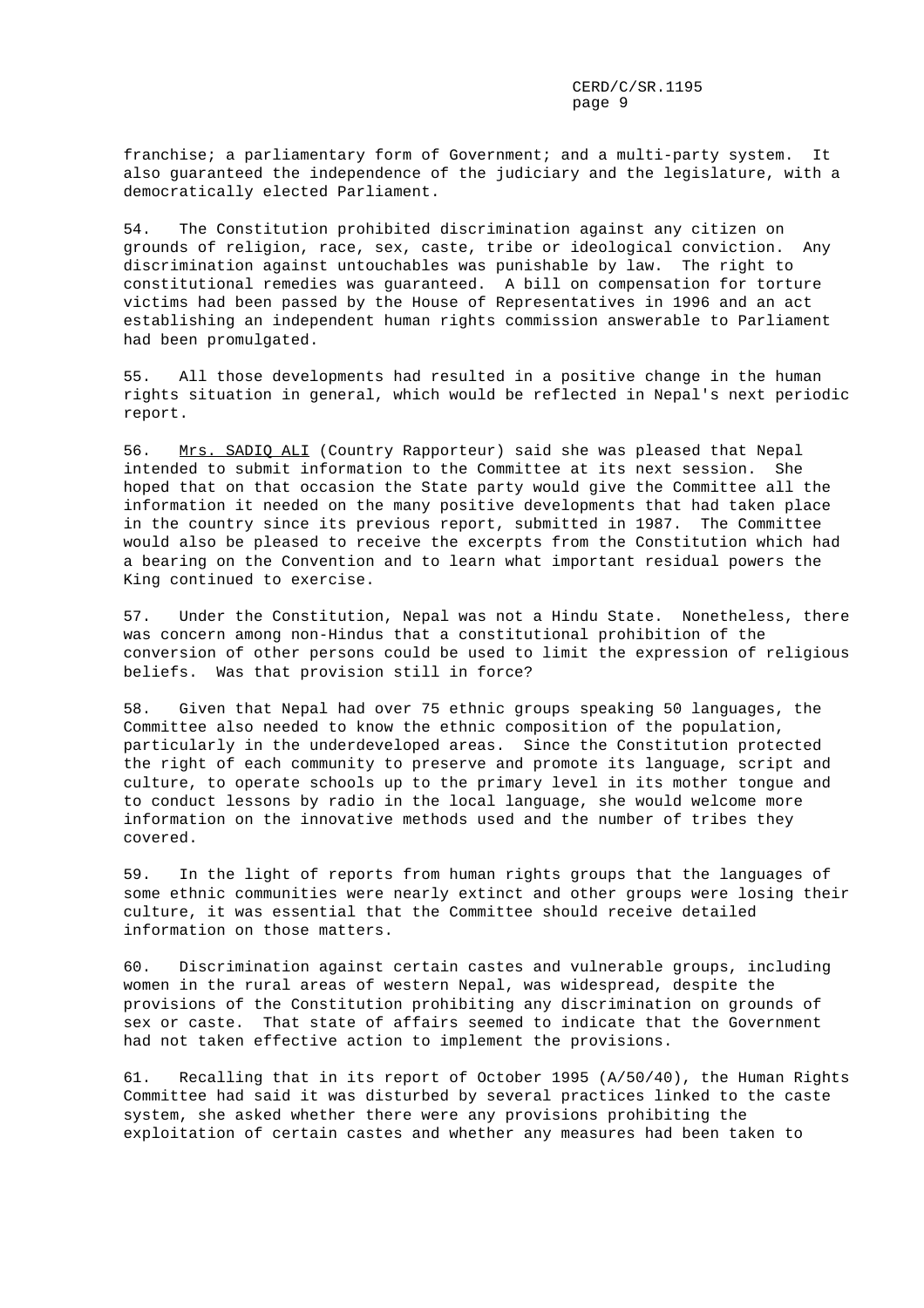franchise; a parliamentary form of Government; and a multi-party system. It also guaranteed the independence of the judiciary and the legislature, with a democratically elected Parliament.

54. The Constitution prohibited discrimination against any citizen on grounds of religion, race, sex, caste, tribe or ideological conviction. Any discrimination against untouchables was punishable by law. The right to constitutional remedies was guaranteed. A bill on compensation for torture victims had been passed by the House of Representatives in 1996 and an act establishing an independent human rights commission answerable to Parliament had been promulgated.

55. All those developments had resulted in a positive change in the human rights situation in general, which would be reflected in Nepal's next periodic report.

56. Mrs. SADIQ ALI (Country Rapporteur) said she was pleased that Nepal intended to submit information to the Committee at its next session. She hoped that on that occasion the State party would give the Committee all the information it needed on the many positive developments that had taken place in the country since its previous report, submitted in 1987. The Committee would also be pleased to receive the excerpts from the Constitution which had a bearing on the Convention and to learn what important residual powers the King continued to exercise.

57. Under the Constitution, Nepal was not a Hindu State. Nonetheless, there was concern among non-Hindus that a constitutional prohibition of the conversion of other persons could be used to limit the expression of religious beliefs. Was that provision still in force?

58. Given that Nepal had over 75 ethnic groups speaking 50 languages, the Committee also needed to know the ethnic composition of the population, particularly in the underdeveloped areas. Since the Constitution protected the right of each community to preserve and promote its language, script and culture, to operate schools up to the primary level in its mother tongue and to conduct lessons by radio in the local language, she would welcome more information on the innovative methods used and the number of tribes they covered.

59. In the light of reports from human rights groups that the languages of some ethnic communities were nearly extinct and other groups were losing their culture, it was essential that the Committee should receive detailed information on those matters.

60. Discrimination against certain castes and vulnerable groups, including women in the rural areas of western Nepal, was widespread, despite the provisions of the Constitution prohibiting any discrimination on grounds of sex or caste. That state of affairs seemed to indicate that the Government had not taken effective action to implement the provisions.

61. Recalling that in its report of October 1995 (A/50/40), the Human Rights Committee had said it was disturbed by several practices linked to the caste system, she asked whether there were any provisions prohibiting the exploitation of certain castes and whether any measures had been taken to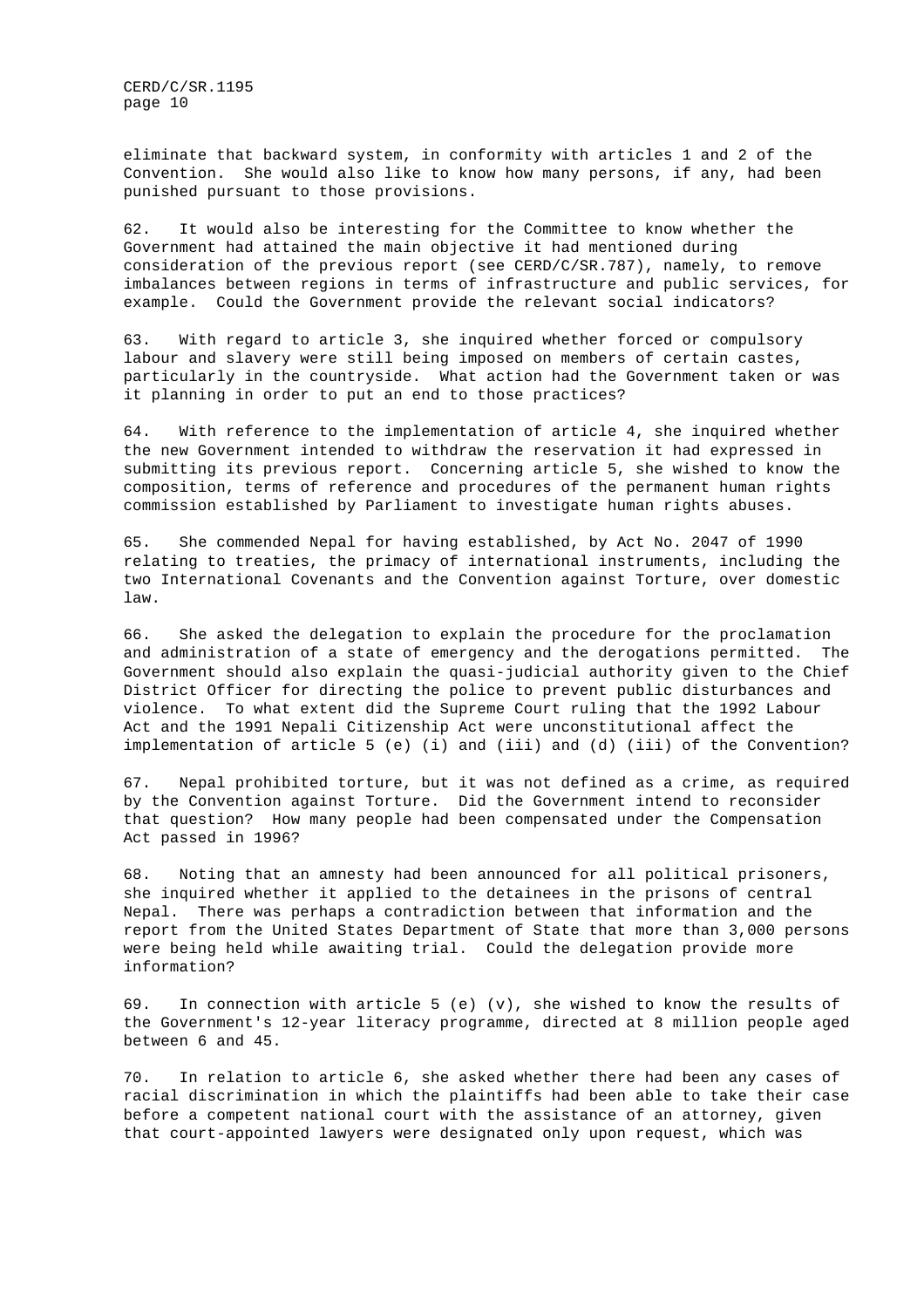eliminate that backward system, in conformity with articles 1 and 2 of the Convention. She would also like to know how many persons, if any, had been punished pursuant to those provisions.

62. It would also be interesting for the Committee to know whether the Government had attained the main objective it had mentioned during consideration of the previous report (see CERD/C/SR.787), namely, to remove imbalances between regions in terms of infrastructure and public services, for example. Could the Government provide the relevant social indicators?

63. With regard to article 3, she inquired whether forced or compulsory labour and slavery were still being imposed on members of certain castes, particularly in the countryside. What action had the Government taken or was it planning in order to put an end to those practices?

64. With reference to the implementation of article 4, she inquired whether the new Government intended to withdraw the reservation it had expressed in submitting its previous report. Concerning article 5, she wished to know the composition, terms of reference and procedures of the permanent human rights commission established by Parliament to investigate human rights abuses.

65. She commended Nepal for having established, by Act No. 2047 of 1990 relating to treaties, the primacy of international instruments, including the two International Covenants and the Convention against Torture, over domestic law.

66. She asked the delegation to explain the procedure for the proclamation and administration of a state of emergency and the derogations permitted. The Government should also explain the quasi-judicial authority given to the Chief District Officer for directing the police to prevent public disturbances and violence. To what extent did the Supreme Court ruling that the 1992 Labour Act and the 1991 Nepali Citizenship Act were unconstitutional affect the implementation of article 5 (e) (i) and (iii) and (d) (iii) of the Convention?

67. Nepal prohibited torture, but it was not defined as a crime, as required by the Convention against Torture. Did the Government intend to reconsider that question? How many people had been compensated under the Compensation Act passed in 1996?

68. Noting that an amnesty had been announced for all political prisoners, she inquired whether it applied to the detainees in the prisons of central Nepal. There was perhaps a contradiction between that information and the report from the United States Department of State that more than 3,000 persons were being held while awaiting trial. Could the delegation provide more information?

69. In connection with article 5 (e)  $(v)$ , she wished to know the results of the Government's 12-year literacy programme, directed at 8 million people aged between 6 and 45.

70. In relation to article 6, she asked whether there had been any cases of racial discrimination in which the plaintiffs had been able to take their case before a competent national court with the assistance of an attorney, given that court-appointed lawyers were designated only upon request, which was